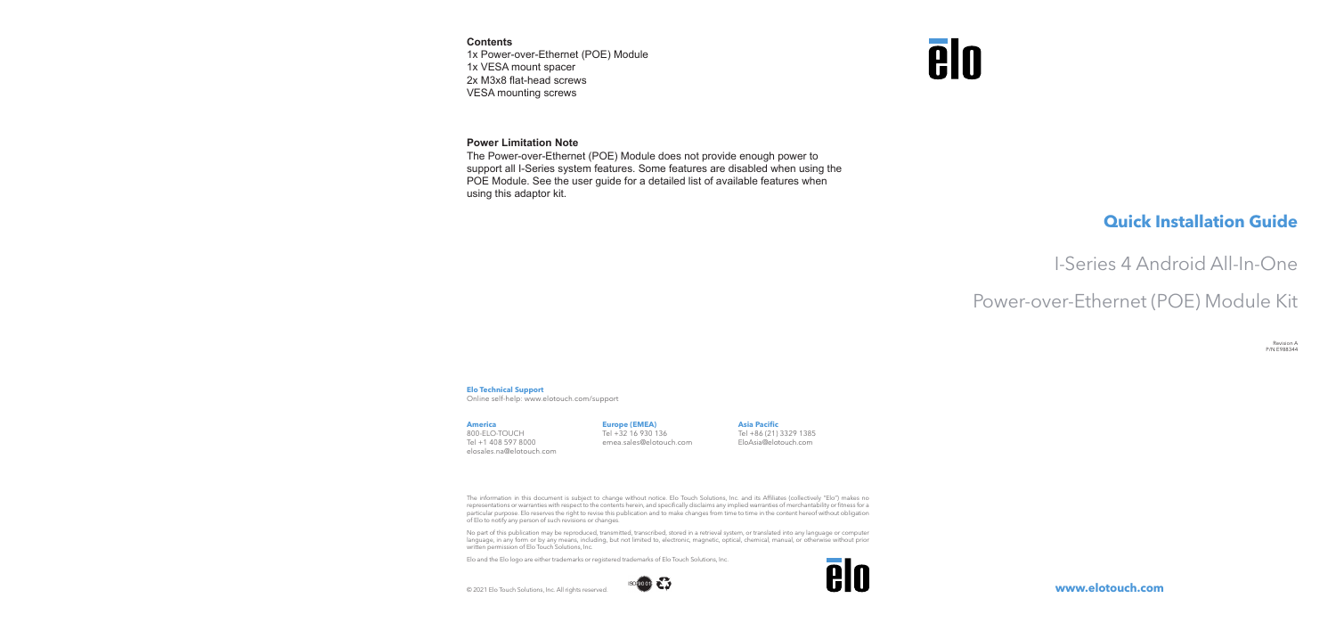Revision A P/N E988344

**www.elotouch.com**

## **Quick Installation Guide**

## I-Series 4 Android All-In-One

## Power-over-Ethernet (POE) Module Kit

# **elo**

No part of this publication may be reproduced, transmitted, transcribed, stored in a retrieval system, or translated into any language or computer language, in any form or by any means, including, but not limited to, electronic, magnetic, optical, chemical, manual, or otherwise without prior written permission of Elo Touch Solutions, Inc.

**ISO 9001 275** 

The information in this document is subject to change without notice. Elo Touch Solutions, Inc. and its Affiliates (collectively "Elo") makes no representations or warranties with respect to the contents herein, and specifically disclaims any implied warranties of merchantability or fitness for a particular purpose. Elo reserves the right to revise this publication and to make changes from time to time in the content hereof without obligation of Elo to notify any person of such revisions or changes.

Elo and the Elo logo are either trademarks or registered trademarks of Elo Touch Solutions, Inc.



#### **America**

800-ELO-TOUCH Tel +1 408 597 8000 elosales.na@elotouch.com

#### **Europe (EMEA)**

Tel +32 16 930 136 emea.sales@elotouch.com

#### **Asia Pacific** Tel +86 (21) 3329 1385 EloAsia@elotouch.com

#### **Elo Technical Support**

Online self-help: www.elotouch.com/support

#### **Contents**

1x Power-over-Ethernet (POE) Module 1x VESA mount spacer 2x M3x8 flat-head screws VESA mounting screws

### **Power Limitation Note**

The Power-over-Ethernet (POE) Module does not provide enough power to support all I-Series system features. Some features are disabled when using the POE Module. See the user guide for a detailed list of available features when using this adaptor kit.